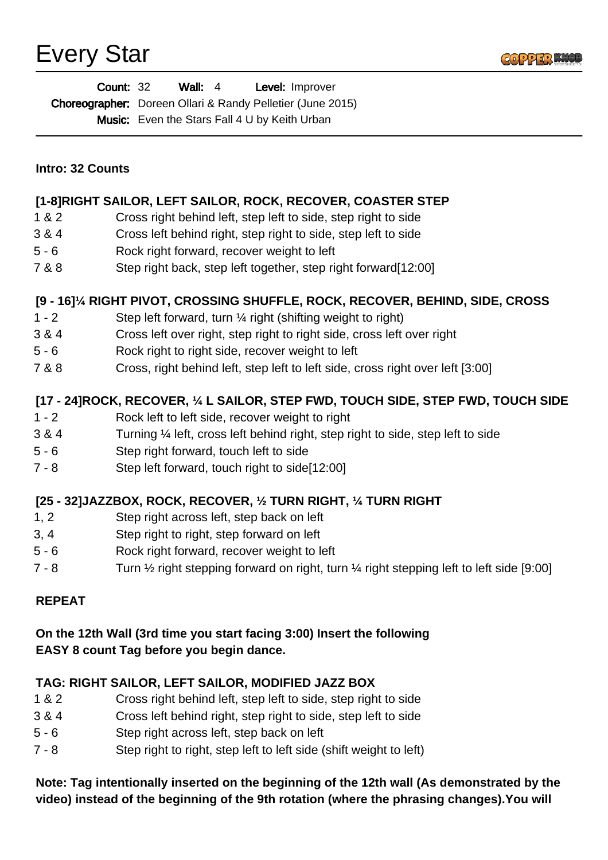

| <b>Count: 32</b> | Wall: $4$ | <b>Level:</b> Improver                                            |
|------------------|-----------|-------------------------------------------------------------------|
|                  |           | <b>Choreographer:</b> Doreen Ollari & Randy Pelletier (June 2015) |
|                  |           | <b>Music:</b> Even the Stars Fall 4 U by Keith Urban              |

|  |  | <b>Intro: 32 Counts</b> |
|--|--|-------------------------|
|--|--|-------------------------|

#### **[1-8]RIGHT SAILOR, LEFT SAILOR, ROCK, RECOVER, COASTER STEP**

- 1 & 2 Cross right behind left, step left to side, step right to side
- 3 & 4 Cross left behind right, step right to side, step left to side
- 5 6 Rock right forward, recover weight to left
- 7 & 8 Step right back, step left together, step right forward[12:00]

#### **[9 - 16]¼ RIGHT PIVOT, CROSSING SHUFFLE, ROCK, RECOVER, BEHIND, SIDE, CROSS**

- 1 2 Step left forward, turn ¼ right (shifting weight to right)
- 3 & 4 Cross left over right, step right to right side, cross left over right
- 5 6 Rock right to right side, recover weight to left
- 7 & 8 Cross, right behind left, step left to left side, cross right over left [3:00]

## **[17 - 24]ROCK, RECOVER, ¼ L SAILOR, STEP FWD, TOUCH SIDE, STEP FWD, TOUCH SIDE**

- 1 2 Rock left to left side, recover weight to right
- 3 & 4 Turning ¼ left, cross left behind right, step right to side, step left to side
- 5 6 Step right forward, touch left to side
- 7 8 Step left forward, touch right to side[12:00]

# **[25 - 32]JAZZBOX, ROCK, RECOVER, ½ TURN RIGHT, ¼ TURN RIGHT**

- 1, 2 Step right across left, step back on left
- 3, 4 Step right to right, step forward on left
- 5 6 Rock right forward, recover weight to left
- 7 8 Turn 1/2 right stepping forward on right, turn 1/4 right stepping left to left side [9:00]

#### **REPEAT**

### **On the 12th Wall (3rd time you start facing 3:00) Insert the following EASY 8 count Tag before you begin dance.**

#### **TAG: RIGHT SAILOR, LEFT SAILOR, MODIFIED JAZZ BOX**

- 1 & 2 Cross right behind left, step left to side, step right to side
- 3 & 4 Cross left behind right, step right to side, step left to side
- 5 6 Step right across left, step back on left
- 7 8 Step right to right, step left to left side (shift weight to left)

#### **Note: Tag intentionally inserted on the beginning of the 12th wall (As demonstrated by the video) instead of the beginning of the 9th rotation (where the phrasing changes).You will**